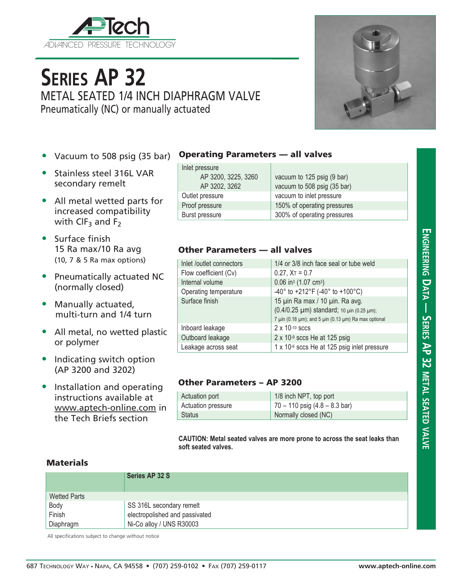

# **Series AP 32** METAL SEATED 1/4 INCH DIAPHRAGM VALVE Pneumatically (NC) or manually actuated

- Vacuum to 508 psig (35 bar)
- Stainless steel 316L VAR secondary remelt
- All metal wetted parts for increased compatibility with  $CIF_3$  and  $F_2$
- Surface finish 15 Ra max/10 Ra avg (10, 7 & 5 Ra max options)
- Pneumatically actuated NC (normally closed)
- Manually actuated, multi-turn and 1/4 turn
- All metal, no wetted plastic or polymer
- Indicating switch option (AP 3200 and 3202)
- Installation and operating instructions available at www.aptech-online.com in the Tech Briefs section

#### Operating Parameters — all valves

| Inlet pressure      |                             |
|---------------------|-----------------------------|
| AP 3200, 3225, 3260 | vacuum to 125 psig (9 bar)  |
| AP 3202, 3262       | vacuum to 508 psig (35 bar) |
| Outlet pressure     | vacuum to inlet pressure    |
| Proof pressure      | 150% of operating pressures |
| Burst pressure      | 300% of operating pressures |

### Other Parameters — all valves

| Inlet /outlet connectors | 1/4 or 3/8 inch face seal or tube weld                                                                                               |
|--------------------------|--------------------------------------------------------------------------------------------------------------------------------------|
| Flow coefficient (Cv)    | $0.27$ , $XT = 0.7$                                                                                                                  |
| Internal volume          | 0.06 in <sup>3</sup> (1.07 cm <sup>3</sup> )                                                                                         |
| Operating temperature    | -40° to +212°F (-40° to +100°C)                                                                                                      |
| Surface finish           | 15 µin Ra max / 10 µin. Ra avg.<br>(0.4/0.25 µm) standard; 10 µin (0.25 µm);<br>7 µin (0.18 µm); and 5 µin (0.13 µm) Ra max optional |
| Inboard leakage          | $2 \times 10^{-10}$ sccs                                                                                                             |
| Outboard leakage         | $2 \times 10^{-9}$ sccs He at 125 psig                                                                                               |
| Leakage across seat      | 1 x 10-6 sccs He at 125 psig inlet pressure                                                                                          |

### Other Parameters – AP 3200

| Actuation port     | 1/8 inch NPT, top port                |
|--------------------|---------------------------------------|
| Actuation pressure | $\vert$ 70 – 110 psig (4.8 – 8.3 bar) |
| <b>Status</b>      | Normally closed (NC)                  |

**CAUTION: Metal seated valves are more prone to across the seat leaks than soft seated valves.**

### **Materials**

|                     | Series AP 32 S                 |
|---------------------|--------------------------------|
| <b>Wetted Parts</b> |                                |
| Body                | SS 316L secondary remelt       |
| Finish              | electropolished and passivated |
| Diaphragm           | Ni-Co alloy / UNS R30003       |

All specifications subject to change without notice